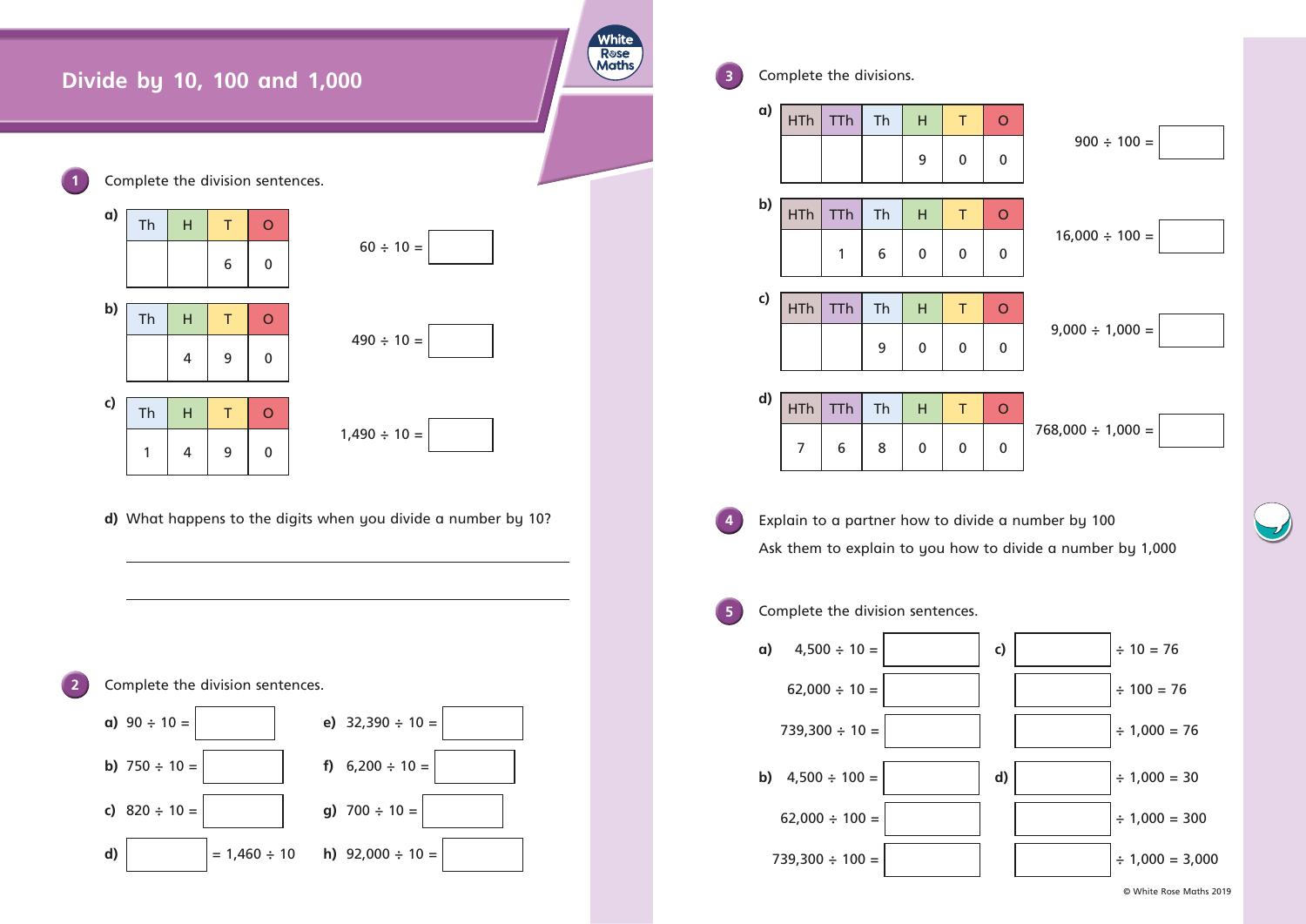

**3** Complete the divisions. **a)**  $\boxed{\mathsf{HTh} \mid \mathsf{TTh} \mid \mathsf{Th} \mid \mathsf{H} \mid \mathsf{T} \mid 0}$ 9 0 0 **b)**  $H$ Th Th Th  $H$  T O 1 | 6 | 0 | 0 | 0 **c)** HTh TTh Th H T O 9 0 0 0 **d)** HTh TTh Th H T O 7 | 6 | 8 | 0 | 0 | 0 **4** Explain to a partner how to divide a number by 100 Ask them to explain to you how to divide a number by 1,000 **5** Complete the division sentences. **a)**  $4,500 \div 10 =$  **c)**  $\div 10 = 76$  $62,000 \div 10 =$   $\Big|$   $\Big|$   $\Big|$   $\Big|$   $\Big|$   $\Big|$   $\Big|$   $\Big|$   $\Big|$   $\Big|$   $\Big|$   $\Big|$   $\Big|$   $\Big|$   $\Big|$   $\Big|$   $\Big|$   $\Big|$   $\Big|$   $\Big|$   $\Big|$   $\Big|$   $\Big|$   $\Big|$   $\Big|$   $\Big|$   $\Big|$   $\Big|$   $\Big|$   $\Big|$   $\Big|$   $\Big|$   $\Big|$   $\Big|$   $\$  $739,300 \div 10 =$   $\Big|$   $\Big|$   $\Big|$   $\Big|$   $\Big|$   $\Big|$   $\Big|$   $\Big|$   $\Big|$   $\Big|$   $\Big|$   $\Big|$   $\Big|$   $\Big|$   $\Big|$   $\Big|$   $\Big|$   $\Big|$   $\Big|$   $\Big|$   $\Big|$   $\Big|$   $\Big|$   $\Big|$   $\Big|$   $\Big|$   $\Big|$   $\Big|$   $\Big|$   $\Big|$   $\Big|$   $\Big|$   $\Big|$   $\Big|$  **b)**  $4,500 \div 100 =$  **d)**  $\div 1,000 = 30$